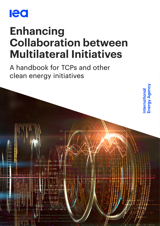

# **Enhancing Collaboration between Multilateral Initiatives**

A handbook for TCPs and other clean energy initiatives

**International**<br>Energy Agency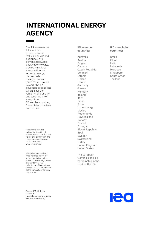## **INTERNATIONAL ENERGY AGENCY**

The IEA examines the full spectrum of energy issues including oil, gas and coal supply and demand, renewable energy technologies, electricity markets, energy efficiency, access to energy, demand side management and much more. Through its work, the IEA advocates policies that will enhance the reliability, affordability and sustainability of energy in its 30 member countries. 8 association countries and beyond.

Please note that this publication is subject to specific restrictions that limit its use and distribution. The terms and conditions are available online at www.iea.org/t&c/

This publication and any map included herein are without prejudice to the status of or sovereignty over any territory, to the delimitation of international frontiers and boundaries and to the name of any territory, city or area.

Source: IEA. All rights reserved. International Energy Agency Website: www.iea.org

#### **IEA** member countries:

Australia Austria Belgium Canada Czech Republic Denmark Estonia Finland France Germany Greece Hungary Ireland Italy Japan Korea Luxembourg Mexico Netherlands New Zealand Norway Poland Portugal Slovak Republic Spain Sweden Switzerland Turkey United Kingdom **United States** 

The European Commission also participates in the work of the IEA

#### **IEA** association countries:

**Brazil** China India Indonesia Morocco Singapore South Africa Thailand

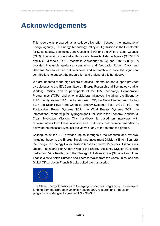IEA. All rights reserved.

## **Acknowledgements**

This report was prepared as a collaborative effort between the International Energy Agency (IEA) Energy Technology Policy (ETP) Division in the Directorate for Sustainability, Technology and Outlooks (STO) and the Office of Legal Counsel (OLC). The report's principal authors were Jean-Baptiste Le Marois (STO/ETP) and K.C. Michaels (OLC). Mechthild Wörsdörfer (STO) and Timur Gül (ETP) provided invaluable guidance, comments and feedback. Ruben Davis and Sakeena Moeen carried out interviews and research and provided significant contributions to support the preparation and drafting of this handbook.

We are indebted to the high calibre of advice, information and support provided by delegates to the IEA Committee on Energy Research and Technology and its Working Parties, and to participants of the IEA Technology Collaboration Programmes (TCPs) and other multilateral initiatives, including: the Bioenergy TCP, the Hydrogen TCP, the Hydropower TCP, the Solar Heating and Cooling TCP, the Solar Power and Chemical Energy Systems (SolarPACES) TCP, the Photovoltaic Power Systems TCP, the Wind Energy Systems TCP, the International Partnership for Hydrogen and Fuel Cells in the Economy, and the MI Clean Hydrogen Mission. This handbook is based on interviews with representatives from these initiatives and institutions, but the recommendations below do not necessarily reflect the views of any of the referenced groups.

Colleagues at the IEA provided inputs throughout the research and reviews, including those in: the Energy Supply and Investment Division (Simon Bennett); the Energy Technology Policy Division (Jose Bermudez Menendez, Diana Louis, Jacopo Tattini and Per Anders Widell); the Energy Efficiency Division (Ghislaine Kieffer and Vida Rozite); and the Strategic Initiatives Office (Simone Landolina). Thanks also to Astrid Dumond and Therese Walsh from the Communications and Digital Office. Justin French-Brooks edited the manuscript.



The Clean Energy Transitions in Emerging Economies programme has received funding from the European Union's Horizon 2020 research and innovation programme under grant agreement No. 952363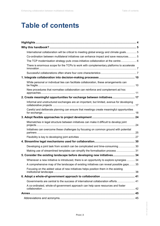## **Table of contents**

| International collaboration will be critical to meeting global energy and climate goals 5 |
|-------------------------------------------------------------------------------------------|
| Co-ordination between multilateral initiatives can enhance impact and save resources 5    |
| The TCP modernisation strategy puts cross-initiative collaboration at the centre  6       |
| There is enormous scope for the TCPs to work with complementary platforms to accelerate   |
|                                                                                           |
|                                                                                           |
| While personal or individual ties can facilitate collaboration, these arrangements can    |
| New procedures that normalise collaboration can reinforce and complement ad hoc           |
| 2. Create meaningful opportunities for exchange between initiatives 17                    |
| Informal and unstructured exchanges are an important, but limited, avenue for developing  |
| Careful and deliberate planning can ensure that meetings create meaningful opportunities  |
|                                                                                           |
| Mismatches in legal structure between initiatives can make it difficult to develop joint  |
| Initiatives can overcome these challenges by focusing on common ground with potential     |
|                                                                                           |
|                                                                                           |
| Developing a joint task from scratch can be complicated and time-consuming  30            |
| Making use of streamlined templates can simplify the formalisation process  31            |
| 5. Consider the existing landscape before developing new initiatives 34                   |
| Whenever a new initiative is introduced, there is an opportunity to explore synergies  34 |
| A comprehensive map of the landscape of existing initiatives can reveal possible gaps 35  |
| Focusing on the added value of new initiatives helps position them in the existing        |
|                                                                                           |
| Governments are central to the success of international collaboration efforts 41          |
| A co-ordinated, whole-of-government approach can help save resources and foster           |
|                                                                                           |
|                                                                                           |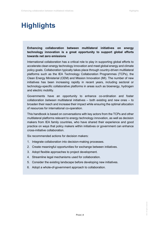## <span id="page-4-0"></span>**Highlights**

### **Enhancing collaboration between multilateral initiatives on energy technology innovation is a great opportunity to support global efforts towards net zero emissions**

International collaboration has a critical role to play in supporting global efforts to accelerate clean energy technology innovation and meet global energy and climate policy goals. Collaboration typically takes place through country-driven multilateral platforms such as the IEA Technology Collaboration Programmes (TCPs), the Clean Energy Ministerial (CEM) and Mission Innovation (MI). The number of new initiatives has been increasing rapidly in recent years, including sectoral or technology-specific collaborative platforms in areas such as bioenergy, hydrogen and electric mobility.

Governments have an opportunity to enhance co-ordination and foster collaboration *between* multilateral initiatives – both existing and new ones – to broaden their reach and increase their impact while ensuring the optimal allocation of resources for international co-operation.

This handbook is based on conversations with key actors from the TCPs and other multilateral platforms relevant to energy technology innovation, as well as decision makers from IEA family countries, who have shared their experience and good practice on ways that policy makers within initiatives or government can enhance cross-initiative collaboration.

Six recommended actions for decision makers:

- 1. Integrate collaboration into decision-making processes.
- 2. Create meaningful opportunities for exchange between initiatives.
- 3. Adopt flexible approaches to project development.
- 4. Streamline legal mechanisms used for collaboration.
- 5. Consider the existing landscape before developing new initiatives.
- 6. Adopt a whole-of-government approach to collaboration.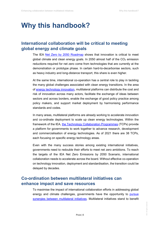## <span id="page-5-0"></span>**Why this handbook?**

## <span id="page-5-1"></span>**International collaboration will be critical to meeting global energy and climate goals**

The IEA [Net Zero by 2050 Roadmap](https://www.iea.org/reports/net-zero-by-2050) shows that innovation is critical to meet global climate and clean energy goals. In 2050 almost half of the  $CO<sub>2</sub>$  emission reductions required for net zero come from technologies that are currently at the demonstration or prototype phase. In certain hard-to-decarbonise sectors, such as heavy industry and long-distance transport, this share is even higher.

At the same time, international co-operation has a central role to play in tackling the many global challenges associated with clean energy transitions. In the area of [energy technology innovation,](https://www.iea.org/reports/clean-energy-innovation) multilateral platforms can distribute the cost and risk of innovation across many actors, facilitate the exchange of ideas between sectors and across borders, enable the exchange of good policy practice among policy makers, and support market deployment by harmonising performance standards and codes.

In many areas, multilateral platforms are already working to accelerate innovation and co-ordinate deployment to scale up clean energy technologies. Within the framework of the IEA, [the Technology Collaboration Programmes](https://www.iea.org/areas-of-work/technology-collaboration) (TCPs) provide a platform for governments to work together to advance research, development and commercialisation of energy technologies. As of 2021 there are 38 TCPs, each focusing on specific energy technology areas.

Even with the many success stories among existing international initiatives, governments need to redouble their efforts to meet net zero ambitions. To reach the targets of the IEA Net Zero Emissions by 2050 Scenario, international collaboration needs to accelerate across the board. Without effective co-operation on technology innovation, deployment and standardisation, the transition could be delayed by decades.

## <span id="page-5-2"></span>**Co-ordination between multilateral initiatives can enhance impact and save resources**

To maximise the impact of international collaboration efforts in addressing global energy and climate challenges, governments have the opportunity to **[pursue](https://www.iea.org/reports/energy-technology-innovation-partnerships)** [synergies between multilateral initiatives.](https://www.iea.org/reports/energy-technology-innovation-partnerships) Multilateral initiatives stand to benefit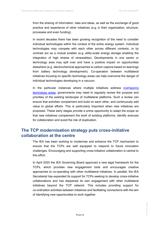from the sharing of information, data and ideas, as well as the exchange of good practice and experience of other initiatives (e.g. in their organisation, structure, processes and even funding).

In recent decades there has been growing recognition of the need to consider individual technologies within the context of the entire energy system. Individual technologies may compete with each other across different contexts, or by contrast act as a mutual enabler (e.g. utility-scale energy storage enabling the integration of high shares of renewables). Developments in one sector or technology area may spill over and have a positive impact on opportunities elsewhere (e.g. electrochemical approaches to carbon capture based on learnings from battery technology development). Co-operation between multilateral initiatives focusing on specific technology areas can help overcome the danger of individual technologies developing in a vacuum.

In the particular instances where multiple initiatives address overlapping [technology areas,](https://www.iea.org/commentaries/three-priorities-for-energy-technology-innovation-partnerships) governments may need to regularly review the purpose and priorities of the existing landscape of multilateral platforms. Such a review can ensure that activities complement and build on each other, and continuously add value to global efforts. This is particularly important when new initiatives are proposed. These early stages provide a prime opportunity to adapt the scope so that new initiatives complement the work of existing platforms, identify avenues for collaboration and avoid the risk of duplication.

## <span id="page-6-0"></span>**The TCP modernisation strategy puts cross-initiative collaboration at the centre**

The IEA has been working to modernise and enhance the TCP mechanism to ensure that the TCPs are well equipped to respond to future innovation challenges. Encouraging and supporting cross-initiative collaboration is central to this effort.

In April 2020 the IEA Governing Board approved a new legal framework for the TCPs, which provides new engagement tools and encourages creative approaches to co-operating with other multilateral initiatives. In parallel, the IEA Secretariat has expanded its support for TCPs seeking to develop cross-initiative collaborations and has deepened its own engagement with other multilateral initiatives beyond the TCP network. This includes providing support for co-ordination activities between initiatives and facilitating connections with the aim of identifying new opportunities to work together.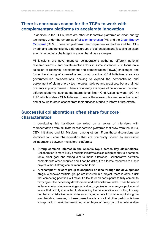## <span id="page-7-0"></span>**There is enormous scope for the TCPs to work with complementary platforms to accelerate innovation**

In addition to the TCPs, there are other collaborative platforms on clean energy technology under the umbrellas of [Mission Innovation](https://www.iea.org/areas-of-work/international-collaborations/mission-innovation) (MI) and the [Clean Energy](https://www.iea.org/areas-of-work/programmes-and-partnerships/clean-energy-ministerial)  [Ministerial](https://www.iea.org/areas-of-work/programmes-and-partnerships/clean-energy-ministerial) (CEM). These two platforms can complement each other and the TCPs by bringing together slightly different groups of stakeholders and focusing on clean energy technology challenges in a way that drives synergies.

MI Missions are government-led collaborations gathering different national research teams – and private-sector actors in some instances – to focus on a selection of research, development and demonstration (RD&D) challenges and foster the sharing of knowledge and good practice. CEM Initiatives area also government-led collaborations, seeking to expand the demonstration and deployment of clean energy technologies, policies and practices, but are aimed primarily at policy makers. There are already examples of collaboration between different platforms, such as the International Smart Grid Action Network (ISGAN) TCP, which is also a CEM Initiative. Some of these examples feature in this report and allow us to draw lessons from their success stories to inform future efforts.

## <span id="page-7-1"></span>**Successful collaborations often share four core characteristics**

In developing this handbook we relied on a series of interviews with representatives from multilateral collaboration platforms that draw from the TCPs, CEM Initiatives and MI Missions, among others. From these discussions we identified four core characteristics that are commonly shared by successful collaborations between multilateral platforms:

- **1. Strong common interest in the specific topic across key stakeholders.** Collaboration is more likely if multiple initiatives assign a high priority to a common topic, clear goal and strong aim to make difference. Collaborative activities compete with other priorities and it can be difficult to allocate resources to a new project without strong commitment to the topic.
- **2. A "champion" or core group to shepherd an idea through the development stage.** Whenever multiple groups are involved in a project, there is often a risk that competing priorities will make it difficult for all participants to fully commit to carrying out the necessary development and administrative tasks. It can be useful in these contexts to have a single individual, organisation or core group of several actors that is truly committed to developing the collaboration and willing to carry out the administrative tasks while encouraging others to provide input along the way. Notably, however, in these cases there is a risk that other participants take a step back or seek the free-riding advantages of being part of a collaborative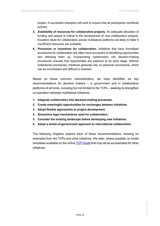project. A successful champion will work to ensure that all participants contribute actively.

- **3. Availability of resources for collaborative projects.** An adequate allocation of funding and people is critical to the development of new collaborative projects. Excellent ideas for collaboration across multilateral platforms are likely to falter if insufficient resources are available.
- **4. Processes or incentives for collaboration.** Initiatives that have formalised procedures for collaboration are often more successful at identifying opportunities and following them up. Incorporating collaboration into decision-making procedures ensures that opportunities are explored at an early stage. Without institutional procedures, initiatives generally rely on personal connections, which can be inconsistent and difficult to maintain.

Based on these common characteristics, we have identified six key recommendations for decision makers – in government and in collaborative platforms of all kinds, including but not limited to the TCPs – seeking to strengthen co-operation between multilateral initiatives:

- **1. Integrate collaboration into decision-making processes.**
- **2. Create meaningful opportunities for exchanges between initiatives.**
- **3. Adopt flexible approaches to project development.**
- **4. Streamline legal mechanisms used for collaboration.**
- **5. Consider the existing landscape before developing new initiatives.**
- **6. Adopt a whole-of-government approach to international collaboration.**

The following chapters explore each of these recommendations, drawing on examples from the TCPs and other initiatives. We refer, where possible, to model templates available on the online [TCP Guide](https://tcp-guide.iea.org/membership) that may serve as examples for other initiatives.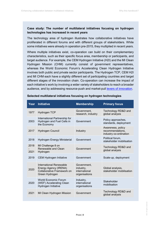### **Case study: The number of multilateral initiatives focusing on hydrogen technologies has increased in recent years**

The technology area of hydrogen illustrates how collaborative initiatives have proliferated in different forums and with different groups of stakeholders. While some initiatives were already in operation pre-2015, they multiplied in recent years.

Where multiple initiatives exist, co-operation can build on their complementary characteristics, such as their specific focus area, membership or participants, and target audience. For example, the CEM Hydrogen Initiative (H2I) and the MI Clean Hydrogen Mission (CHM) currently consist of government representatives, whereas the World Economic Forum's Accelerating Clean Hydrogen Initiative involves both public and private sector participants. The Hydrogen TCP, CEM H2I and MI CHM each have a slightly different set of participating countries and target different stages of the innovation chain. Co-operation can increase the impact of each initiative's work by involving a wider variety of stakeholders to reach a broader audience, and by addressing resource-push and market-pull [levers of innovation.](https://www.iea.org/reports/tracking-clean-energy-innovation)

| Year         | <b>Initiative</b>                                                                                | <b>Membership</b>                                          | <b>Primary focus</b>                                            |
|--------------|--------------------------------------------------------------------------------------------------|------------------------------------------------------------|-----------------------------------------------------------------|
| 1977         | Hydrogen TCP                                                                                     | Government,<br>research, industry                          | Technology RD&D and<br>global analysis                          |
| 2003         | International Partnership for<br>Hydrogen and Fuel Cells in<br>the Economy                       | Government                                                 | Policy approaches,<br>standards, deployment                     |
| 2017         | Hydrogen Council                                                                                 | Industry                                                   | Awareness, policy<br>recommendations,<br>industry co-ordination |
| 2018         | Hydrogen Energy Ministerial                                                                      | Government                                                 | Political forum,<br>stakeholder mobilisation                    |
| 2018<br>2021 | MI Challenge 8 on<br>Renewable and Clean<br>Hydrogen                                             | Government                                                 | Technology RD&D and<br>global analysis                          |
| 2019         | <b>CEM Hydrogen Initiative</b>                                                                   | Government                                                 | Scale-up, deployment                                            |
| 2020         | International Renewable<br>Energy Agency (IRENA)<br>Collaborative Framework on<br>Green Hydrogen | Government,<br>industry,<br>international<br>organisations | Global analysis,<br>stakeholder mobilisation                    |
| 2020         | <b>World Economic Forum</b><br>(WEF) Accelerating Clean<br>Hydrogen Initiative                   | Industry,<br>international<br>organisations                | Stakeholder<br>mobilisation                                     |
| 2021         | MI Clean Hydrogen Mission                                                                        | Government                                                 | Technology RD&D and<br>global analysis                          |

#### **Selected multilateral initiatives focusing on hydrogen technologies**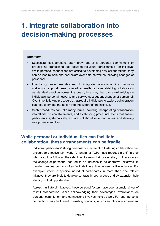## <span id="page-10-0"></span>**1. Integrate collaboration into decision-making processes**

#### **Summary**

- Successful collaborations often grow out of a personal commitment or pre-existing professional ties between individual participants of an initiative. While personal connections are critical to developing new collaborations, they can be less reliable and depreciate over time as well as following changes of personnel.
- Introducing procedures designed to integrate collaboration into decisionmaking can support these more ad hoc methods by establishing collaboration as standard practice across the board, in a way that can avoid relying on individuals' personal networks and survive subsequent changes of personnel. Over time, following procedures that require individuals to explore collaboration can help to embed the notion into the culture of the initiative.
- Such procedures can take many forms, including incorporating collaboration into official mission statements, and establishing procedural steps that ensure participants systematically explore collaborative opportunities and develop new professional ties.

## <span id="page-10-1"></span>**While personal or individual ties can facilitate collaboration, these arrangements can be fragile**

Individual participants' strong personal commitment to fostering collaboration can encourage effective joint work. A handful of TCPs have reported a shift in their internal culture following the selection of a new chair or secretary. In these cases, the change of personnel has led to an increase in collaborative initiatives. In parallel, personal contacts often facilitate interaction between active initiatives. For example, where a specific individual participates in more than one related initiative, they are likely to develop contacts in both groups and by extension help identify mutual opportunities.

Across multilateral initiatives, these personal factors have been a crucial driver of fruitful collaboration. While acknowledging their advantages, overreliance on personal commitment and connections involves risks as well. For one, personal connections may be limited to existing contacts, which can introduce an element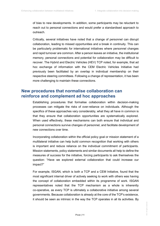of bias to new developments. In addition, some participants may be reluctant to reach out to personal connections and would prefer a standardised approach to outreach.

Critically, several initiatives have noted that a change of personnel can disrupt collaboration, leading to missed opportunities and a break in continuity. This can be particularly problematic for international initiatives where personnel changes and rapid turnover are common. After a person leaves an initiative, the institutional memory, personal connections and potential for collaboration may be difficult to recover. The Hybrid and Electric Vehicles (HEV) TCP noted, for example, that ad hoc exchange of information with the CEM Electric Vehicles Initiative had previously been facilitated by an overlap in individual membership on their respective steering committees. Following a change of representation, it has been more challenging to maintain these connections.

## <span id="page-11-0"></span>**New procedures that normalise collaboration can reinforce and complement ad hoc approaches**

Establishing procedures that formalise collaboration within decision-making processes can mitigate the risks of over-reliance on individuals. Although the specifics of these approaches vary considerably, what they all have in common is that they ensure that collaboration opportunities are systematically explored. When used effectively, these mechanisms can both ensure that individual and personal connections survive changes of personnel, and facilitate development of new connections over time.

Incorporating collaboration within the official policy goal or mission statement of a multilateral initiative can help build common recognition that working with others is important and reduce reliance on the individual commitment of participants. Mission statements, policy statements and similar documents all help to define the measures of success for the initiative, forcing participants to ask themselves the question: "Have we explored external collaboration that could increase our impact?"

For example, ISGAN, which is both a TCP and a CEM Initiative, found that the most significant internal driver of actively seeking to work with others was having the concept of collaboration embedded within its programme of work. ISGAN representatives noted that the TCP mechanism as a whole is inherently co-operative, as every TCP is ultimately a collaborative initiative among several governments. Because collaboration is already at the core of the TCP's existence, it should be seen as intrinsic in the way the TCP operates in all its activities. By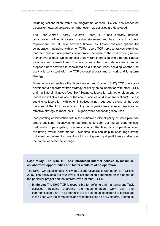including collaboration within its programme of work, ISGAN has reoriented discussion towards collaboration whenever new activities are developed.

The User-Centred Energy Systems (Users) TCP has similarly included collaboration within its overall mission statement and has made it a basic requirement that all new activities (known as Tasks) consider options for collaboration, including with other TCPs. Users TCP representatives explained that their mission incorporates collaboration because of the cross-cutting nature of their overall topic, which benefits greatly from interaction with other multilateral initiatives and stakeholders. This also means that the collaborative extent of proposed new activities is considered as a criterion when deciding whether the activity is consistent with the TCP's overall programme of work and long-term strategy.

Some initiatives, such as the Solar Heating and Cooling (SHC) TCP, have also developed a separate written strategy or policy on collaboration with other TCPs and multilateral initiatives (see Box "Setting collaboration with other clean energy innovation initiatives as one of the core principles of Mission Innovation"). Even if seeking collaboration with other initiatives is not regarded as one of the core missions of the TCP, an official policy helps participants to recognise it as an effective strategy to meet the TCP's goals while conserving resources.

Incorporating collaboration within the initiative's official policy or work plan can create additional incentives for participants to seek out mutual opportunities, particularly if participating countries look at the level of co-operation when evaluating overall performance. Over time, this can help to encourage strong individual commitment to pursuing joint working among all participants and temper the impact of personnel changes.

### **Case study: The SHC TCP has introduced internal policies to maximise collaborative opportunities and foster a culture of co-operation**

The SHC TCP established a Policy on Collaborative Tasks with other IEA TCPs in 2016. The policy sets out four levels of collaboration depending on the needs of the particular project and the interest levels of other TCPs:

**1. Minimum:** The SHC TCP is responsible for defining and managing any Task activities, including preparing the documentation, work plan and communication plan. The other initiative is able to select experts to participate in the Task with the same rights and responsibilities as SHC experts. Examples

> IEA. All rights reserved. IEA. All rights reserved.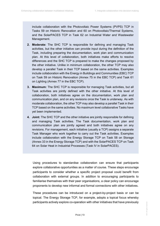include collaboration with the Photovoltaic Power Systems (PVPS) TCP in Tasks 59 on Historic Renovation and 60 on Photovoltaic/Thermal Systems, and the SolarPACES TCP in Task 62 on Industrial Water and Wastewater Management.

- **2. Moderate:** The SHC TCP is responsible for defining and managing Task activities, but the other initiative can provide input during the definition of the Task, including preparing the documentation, work plan and communication plan. At this level of collaboration, both initiatives make efforts to resolve differences and the SHC TCP is prepared to make the changes proposed by the other initiative. Unlike in minimum collaboration, the other TCP may also develop a parallel Task in their TCP based on the same activities. Examples include collaboration with the Energy in Buildings and Communities (EBC) TCP on Task 59 on Historic Renovation (Annex 75 in the EBC TCP) and Task 61 on Lighting (Annex 77 in the EBC TCP).
- **3. Maximum:** The SHC TCP is responsible for managing Task activities, but all Task activities are jointly defined with the other initiative. At this level of collaboration, both initiatives agree on the documentation, work plan and communication plan, and on any revisions once the Task is underway. As with moderate collaboration, the other TCP may also develop a parallel Task in their TCP based on the same activities. No maximum level collaborative Tasks have yet been implemented.
- **4. Joint:** The SHC TCP and the other initiative are jointly responsible for defining and managing Task activities. The Task documentation, work plan and communication plan are jointly agreed and both initiatives agree on any revisions. For management, each initiative (usually a TCP) assigns a separate Task Manager who work together to carry out the Task activities. Examples include collaboration with the Energy Storage TCP on Task 58 on Storage (Annex 33 in the Energy Storage TCP) and with the SolarPACES TCP on Task 64 on Solar Heat in Industrial Processes (Task IV in SolarPACES).

Using procedures to standardise collaboration can ensure that participants explore collaborative opportunities as a matter of course. These steps encourage participants to consider whether a specific project proposal could benefit from collaboration with external groups. In addition to encouraging participants to familiarise themselves with their peer organisations, a clear policy can encourage proponents to develop new informal and formal connections with other initiatives.

These procedures can be introduced on a project-by-project basis or can be topical. The Energy Storage TCP, for example, adopts a topical focus whereby participants actively explore co-operation with other initiatives that have previously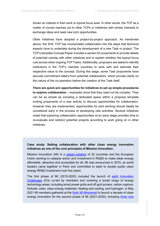shown an interest in their work or topical focus area. In other words, the TCP as a matter of course reaches out to other TCPs or initiatives with similar interests to exchange ideas and seek new joint opportunities.

Other initiatives have adopted a project-by-project approach. As mentioned above, the SHC TCP has incorporated collaboration into the steps that technical experts have to undertake during the development of a new Task or project. The TCP's template Concept Paper includes a section for proponents to provide details of potential overlap with other initiatives and to explain whether the topical focus cuts across other ongoing TCP Tasks. Additionally, proposers are asked to identify institutions in the TCP's member countries to work with and estimate their respective value to the concept. During this stage, some Task proponents have secured commitment letters from potential collaborators, which provide clarity on the nature of the co-operation before the creation of the Task itself.

**There are quick-win opportunities for initiatives to set up simple procedures to explore collaboration** – examples show that they need not be complex. They can be as simple as including a dedicated space within a proposal template inviting proponents of a new activity to discuss opportunities for collaboration. However they are implemented, opportunities for joint working should ideally be considered early in the process of developing new activities. Several initiatives noted that exploring collaboration opportunities at an early stage provides time to re-evaluate and redirect potential projects according to work going on in other initiatives.

### **Case study: Setting collaboration with other clean energy innovation initiatives as one of the core principles of Mission Innovation**

Mission Innovation (MI) is a [global initiative](https://www.iea.org/areas-of-work/international-collaborations/mission-innovation) of 22 countries and the European Union working to catalyse action and investment in RD&D to make clean energy affordable, attractive and accessible for all. MI was announced in 2015, as world leaders came together in Paris and committed to seek to double public clean energy RD&D investment over five years.

The first phase of MI (2015-2020) included the launch of [eight Innovation](http://mission-innovation.net/our-work/innovation-challenges/)  [Challenges](http://mission-innovation.net/our-work/innovation-challenges/) (ICs) co-led by members and covering a broad range of energy technology areas, including smart power grids and off-grid access, carbon capture, biofuels, solar, clean energy materials, heating and cooling, and hydrogen. In May 2021 MI members gathered at the [Sixth MI Ministerial](http://mission-innovation.net/events/mi-6/) to launch a decade of clean energy innovation for the second phase of MI (2021-2030), including three new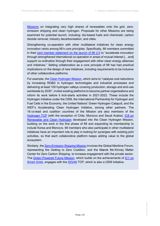[Missions](http://mission-innovation.net/missions/) on integrating very high shares of renewables onto the grid, zeroemission shipping and clean hydrogen. Proposals for other Missions are being examined for potential launch, including: bio-based fuels and chemicals; carbon dioxide removal; industry decarbonisation; and cities.

Strengthening co-operation with other multilateral initiatives for clean energy innovation ranks among MI's core principles. Specifically, MI members committed in their [joint member statement on the launch of MI 2.0](http://mission-innovation.net/about-mi/overview/2021-joint-launch-statement/) to "accelerate innovation through strengthened international co-operation in areas of mutual interest [... and] support co-ordination through their engagement with other clean energy alliances and initiatives." Setting collaboration as a core principle of MI has had practical implications on the design of new initiatives, including requirements to be inclusive of other collaborative platforms.

For example, the [Clean Hydrogen Mission,](http://mission-innovation.net/missions/hydrogen/) which aims to "catalyse cost reductions by increasing RD&D in hydrogen technologies and industrial processes and delivering at least 100 hydrogen valleys covering production, storage and end-use worldwide by 2030", invited existing platforms to become partner organisations and inform its work before it kick-starts activities in 2021-2022. These include the Hydrogen Initiative under the CEM, the International Partnership for Hydrogen and Fuel Cells in the Economy, the United Nations' Green Hydrogen Catapult, and the WEF's Accelerating Clean Hydrogen Initiative, among other partners. The 16 co-lead and coalition countries of the Mission are also members of the [Hydrogen TCP](https://www.ieahydrogen.org/) (with the exception of Chile, Morocco and Saudi Arabia). IC8 on [Renewable and Clean Hydrogen](http://mission-innovation.net/our-work/innovation-challenges/renewable-and-clean-hydrogen/) developed into the Clean Hydrogen Mission, building on the work in the first phase of MI and expanding its membership to include Korea and Morocco. MI members who also participate in other multilateral initiatives have an important role to play in looking for synergies with existing joint activities, so that each collaborative platform keeps adding value to the global ecosystem.

Similarly, the [Zero-Emission Shipping Mission](http://mission-innovation.net/missions/shipping/) involves the Global Maritime Forum, representing the Getting to Zero Coalition, and the Mærsk Mc-Kinney Møller Center for Zero Carbon Shipping, to increase engagement with the private sector. The [Green Powered Future Mission,](http://mission-innovation.net/missions/power/) which builds on the achievements of [IC1 on](http://mission-innovation.net/our-work/innovation-challenges/smart-grids/)  [Smart Grids,](http://mission-innovation.net/our-work/innovation-challenges/smart-grids/) engages with the **ISGAN** TCP, which is also a CEM Initiative.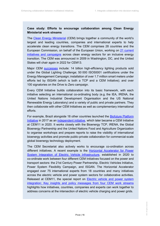### **Case study: Efforts to encourage collaboration among Clean Energy Ministerial work streams**

The [Clean Energy Ministerial](https://www.cleanenergyministerial.org/) (CEM) brings together a community of the world's largest and leading countries, companies and international experts to help accelerate clean energy transitions. The CEM comprises 28 countries and the European Commission, on behalf of the European Union, working on [21 current](https://www.cleanenergyministerial.org/basic-page-overview)  [initiatives and campaigns](https://www.cleanenergyministerial.org/basic-page-overview) across clean energy sectors for an inclusive energy transition. The CEM was announced in 2009 in Washington, DC, and the United States will chair again in 2022 for CEM13.

Major CEM [successes](https://www.cleanenergyministerial.org/publications-clean-energy-ministerial/cem-brochure-update-march-2021) include: 14 billion high-efficiency lighting products sold under the Global Lighting Challenge; 50 000 ISO50001 certifications under the Energy Management Campaign; installation of over 1.7 million smart meters under efforts led by ISGAN (which is both a TCP and a CEM Initiative); and over 100 signatories on the Drive to Zero campaign.

Every CEM Initiative builds collaboration into its basic framework, with each initiative selecting an international co-ordinating body (e.g. the IEA, IRENA, the United Nations Industrial Development Organisation and the US National Renewable Energy Laboratory) and a variety of public and private partners. They then collaborate with other CEM Initiatives as well as complementary international efforts.

For example, Brazil alongside 18 other countries launched the [Biofuture Platform](https://www.cleanenergyministerial.org/initiative-clean-energy-ministerial/biofuture-platform-initiative-bfpi)  [Initiative](https://www.cleanenergyministerial.org/initiative-clean-energy-ministerial/biofuture-platform-initiative-bfpi) in 2017 as an [independent initiative,](https://c4c70c1f-2927-42e5-9e36-d0ba89574795.filesusr.com/ugd/dac106_24eb2067a5d8424180dda43704044d30.pdf) which later became a CEM Initiative at CEM11 in 2020. It works closely with the Bioenergy TCP, IRENA, the Global Bioenergy Partnership and the United Nations Food and Agriculture Organization to organise workshops and prepare reports to raise the visibility of international bioenergy activities and promote public-private collaboration for commercial-scale global bioenergy technology deployment.

The CEM Secretariat also actively works to encourage co-ordination across different initiatives. A recent example is the [Horizontal Accelerator for Power](https://www.iea-isgan.org/collaboration-involving-four-cem-work-streams/)  [System Integration of Electric Vehicle Infrastructure,](https://www.iea-isgan.org/collaboration-involving-four-cem-work-streams/) established in 2020 to co-ordinate work between four different CEM Initiatives focused on the power and transport sectors: the 21st Century Power Partnership, Electric Vehicles Initiative, Power System Flexibility Campaign, and ISGAN. The Horizontal Accelerator engaged over 75 international experts from 18 countries and many initiatives across the electric vehicle and power system sectors for collaborative activities. Released at CEM11, the special report on **Electric vehicle and power system** [integration: Key insights and policy messages from four CEM work streams](https://www.cleanenergyministerial.org/news-clean-energy-ministerial/ground-breaking-new-collaboration-involving-four-cem-workstreams) highlights how initiatives, countries, companies and experts can work together to address concerns at the intersection of electric vehicle charging and power grids.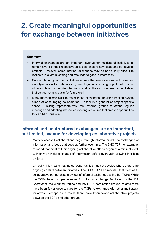## <span id="page-17-0"></span>**2. Create meaningful opportunities for exchange between initiatives**

#### **Summary**

- Informal exchanges are an important avenue for multilateral initiatives to remain aware of their respective activities, explore new ideas and co-develop projects. However, some informal exchanges may be particularly difficult to replicate in a virtual setting and may lead to gaps in interaction.
- Careful planning can help initiatives ensure that events are more focused on identifying areas for collaboration, bring together a broad group of participants, allow ample opportunity for discussion and facilitate an open exchange of ideas that can serve as a basis for future work.
- Many mechanisms exist to foster these exchanges, including hosting events aimed at encouraging collaboration – either in a general or project-specific sense – inviting representatives from external groups to attend regular meetings and adopting interactive meeting structures that create opportunities for candid discussion.

## <span id="page-17-1"></span>**Informal and unstructured exchanges are an important, but limited, avenue for developing collaborative projects**

Many successful collaborations begin through informal or ad hoc exchanges of information and ideas that develop further over time. The SHC TCP, for example, reported that most of their ongoing collaborative efforts began at a minimal level, with only an initial exchange of information before eventually growing into joint projects.

Critically, this means that mutual opportunities may not develop where there is no ongoing contact between initiatives. The SHC TCP also reported that most of its collaborative partnerships grew out of informal exchanges with other TCPs. While the TCPs have multiple avenues for informal exchange facilitated by the IEA Secretariat, the Working Parties and the TCP Coordination groups, to date there have been fewer opportunities for the TCPs to exchange with other multilateral initiatives. Perhaps as a result, there have been fewer collaborative projects between the TCPs and other groups.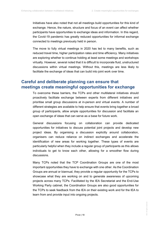Initiatives have also noted that not all meetings build opportunities for this kind of exchange. Hence, the nature, structure and focus of an event can affect whether participants have opportunities to exchange ideas and information. In this regard, the Covid-19 pandemic has greatly reduced opportunities for informal exchange connected to meetings previously held in person.

The move to fully virtual meetings in 2020 has led to many benefits, such as reduced travel time, higher participation rates and time efficiency. Many initiatives are exploring whether to continue holding at least some meetings and workshops virtually. However, several noted that it is difficult to incorporate fluid, unstructured discussions within virtual meetings. Without this, meetings are less likely to facilitate the exchange of ideas that can build into joint work over time.

### <span id="page-18-0"></span>**Careful and deliberate planning can ensure that meetings create meaningful opportunities for exchange**

To overcome these barriers, the TCPs and other multilateral initiatives should proactively facilitate exchange between experts from different initiatives and prioritise small group discussions at in-person and virtual events. A number of different strategies are available to help ensure that events bring together a broad group of participants, allow ample opportunities for discussion and facilitate an open exchange of ideas that can serve as a base for future work.

General discussions focusing on collaboration can provide dedicated opportunities for initiatives to discuss potential joint projects and develop new project ideas. By organising a discussion explicitly around collaboration, organisers can reduce reliance on indirect exchanges and accelerate the identification of new areas for working together. These types of events are particularly helpful when they include a regular group of participants as this allows individuals to get to know each other, allowing for a smoother flow during discussions.

Many TCPs noted that the TCP Coordination Groups are one of the most important opportunities they have to exchange with one other. As the Coordination Groups are annual or biannual, they provide a regular opportunity for the TCPs to showcase what they are working on and to generate awareness of upcoming projects across many TCPs. Facilitated by the IEA Secretariat and the End-Use Working Party cabinet, the Coordination Groups are also good opportunities for the TCPs to seek feedback from the IEA on their existing work and for the IEA to learn from and provide input into ongoing projects.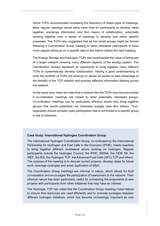Some TCPs recommended increasing the frequency of these types of meetings. More regular meetings would allow more time for participants to develop ideas together, exchange information and find means of collaboration, potentially working together over a series of meetings to develop and refine specific proposals. The TCPs also suggested that ad hoc small groups might be formed following a Coordination Group meeting to allow interested participants to have more regular follow-up on a specific idea in the interim before the next meeting.

The Energy Storage and Hydrogen TCPs also emphasised the value of being part of a larger network covering many different aspects of the energy system. The Coordination Groups represent an opportunity to bring together many different TCPs to systematically develop collaboration. Having a good understanding of what the portfolio of TCPs are working on allows all parties to take advantage of the breadth of the TCP network and ensures effective information sharing across the network.

At the same time, there are risks that a network like the TCPs may become insular if co-ordination meetings are closed to other potentially interested groups. Co-ordination meetings can be particularly effective where they bring together groups that would potentially not otherwise engage (see Box below). Thus, organisers should consider open participation that is not limited to a specific group or set of initiatives.

#### **Case study: International Hydrogen Coordination Group**

The International Hydrogen Coordination Group, co-ordinated by the International Partnership for Hydrogen and Fuel Cells in the Economy (IPHE), meets quarterly to bring together different multilateral actors working on hydrogen. Regular participants include the Hydrogen Council, the IPHE, IRENA, the CEM, MI, the WEF, the IEA, the Hydrogen TCP, the Advanced Fuel Cells (AFC) TCP and others. The purpose of the meeting is to discuss current projects, develop ideas for future work, leverage synergies and avoid duplication of effort.

The Coordination Group meetings are informal in nature, which allows for fluid conversation and encourages the participation of newcomers to the network. Their informal nature has been particularly useful for connecting the proponents of new projects with participants from other initiatives that may have an interest.

The Hydrogen TCP has noted that the Coordination Group meetings have helped to ensure that resources are used efficiently and to promote synergies between different hydrogen initiatives, which has become increasingly important as new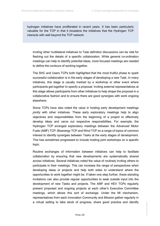hydrogen initiatives have proliferated in recent years. It has been particularly valuable for the TCP in that it broadens the initiatives that the Hydrogen TCP interacts with well beyond the TCP network.

Inviting other multilateral initiatives to Task definition discussions can be vital for fleshing out the details of a specific collaboration. While general co-ordination meetings can help to identify potential ideas, more focused meetings are needed to define the contours of working together.

The SHC and Users TCPs both highlighted that the most fruitful phase to spark successful collaboration is in the early stages of developing a new Task. In many initiatives, this stage is usually marked by a workshop or other event where participants get together to specify a proposal. Inviting external representatives at this stage allows participants from other initiatives to help shape the proposal in a collaborative fashion and to ensure there are good synergies with work ongoing elsewhere.

Some TCPs have also noted the value in hosting early development meetings *jointly* with other initiatives. These early exploratory meetings help to align objectives and responsibilities from the beginning of a project to effectively develop ideas and carve out respective responsibilities. For example, the Hydrogen TCP arranged exploratory meetings between the Advanced Motor Fuels (AMF) TCP, Bioenergy TCP and Wind TCP on a range of topics of common interest to identify synergies between Tasks at the early stages of development. This has sometimes progressed to include hosting joint workshops on a specific topic.

Routine exchanges of information between initiatives can help to facilitate collaboration by ensuring that new developments are systematically shared across initiatives. Several initiatives noted the value of routinely inviting others to participate in their meetings. This can increase the range of perspectives when developing ideas or projects and help both sides to understand where the opportunities to work together might be. If taken one step further, these standing invitations can also provide regular opportunities to seek outside input into the development of new Tasks and projects. The AMF and HEV TCPs regularly present proposed and ongoing projects at each other's Executive Committee meetings, which allows this sort of exchange. Under the MI mechanism, representatives from each Innovation Community and Mission gather regularly in a virtual setting to take stock of progress, share good practice and identify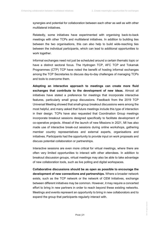synergies and potential for collaboration between each other as well as with other multilateral initiatives.

Relatedly, some initiatives have experimented with organising back-to-back meetings with other TCPs and multilateral initiatives. In addition to building ties between the two organisations, this can also help to build wide-reaching ties between the individual participants, which can lead to additional opportunities to work together.

Informal exchanges need not just be scheduled around a certain thematic topic or have a distinct sectoral focus. The Hydrogen TCP, AFC TCP and Tokamak Programmes (CTP) TCP have noted the benefit of hosting informal exchanges among the TCP Secretaries to discuss day-to-day challenges of managing TCPs and tools to overcome them.

**Adopting an interactive approach to meetings can create more fluid exchanges that contribute to the development of new ideas.** Almost all initiatives have stated a preference for meetings that incorporate interactive features, particularly small group discussions. Feedback from the 2019 TCP Universal Meeting showed that small-group breakout discussions were among the most helpful, and many asked that future meetings include this type of interaction in their design. TCPs have also requested that Coordination Group meetings incorporate breakout sessions designed specifically to facilitate development of co-operative projects. Ahead of the launch of new Missions in 2021, MI has also made use of interactive break-out sessions during online workshops, gathering member country representatives and external experts, organisations and initiatives. Participants had the opportunity to provide input on work proposals and discuss potential collaboration or partnerships.

Interactive sessions are even more critical for virtual meetings, where there are often very limited opportunities to interact with other attendees. In addition to breakout discussion groups, virtual meetings may also be able to take advantage of new collaboration tools, such as live polling and digital workspaces.

**Collaborative discussions should be as open as possible to encourage the development of new connections and partnerships.** Where a broader network exists, such as the TCP network or the network of CEM Initiatives, exchange between different initiatives may be common. However, it may require a concerted effort to bring in new partners in order to reach beyond these existing networks. Meetings and events represent an opportunity to bring in new collaborators and to expand the group that participants regularly interact with.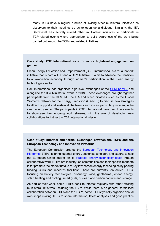Many TCPs have a regular practice of inviting other multilateral initiatives as observers to their meetings so as to open up a dialogue. Similarly, the IEA Secretariat has actively invited other multilateral initiatives to participate in TCP-related events where appropriate, to build awareness of the work being carried out among the TCPs and related initiatives.

### **Case study: C3E International as a forum for high-level engagement on gender**

Clean Energy Education and Empowerment (C3E) International is a "dual-hatted" initiative that is both a TCP and a CEM Initiative. It aims to advance the transition to a low-carbon economy through women's participation in the clean energy technologies sector.

C3E International has organised high-level exchanges at the CEM [12-MI](https://cem12mi6chile.com/) 6 and alongside the IEA Ministerial event in 2019. These exchanges brought together participants from the CEM, MI, the IEA and other initiatives such as the Global Women's Network for the Energy Transition (GWNET) to discuss new strategies to attract, support and sustain all the talents and voices, particularly women, in the clean energy sector. The participants in C3E International have used these events to showcase their ongoing work streams, with the aim of developing new collaborations to further the C3E International mission.

### **Case study: Informal and formal exchanges between the TCPs and the European Technology and Innovation Platforms**

The European Commission created the [European Technology and Innovation](https://ec.europa.eu/info/research-and-innovation/research-area/energy-research-and-innovation/public-private-partnerships-energy_en)  [Platforms](https://ec.europa.eu/info/research-and-innovation/research-area/energy-research-and-innovation/public-private-partnerships-energy_en) (ETIPs) to bring together energy sector stakeholders and experts to help the European Union deliver on its [strategic energy technology goals](https://ec.europa.eu/energy/topics/technology-and-innovation/strategic-energy-technology-plan_en#key-action-areas) through collaborative work. ETIPs are industry-led communities and their specific mandate is to "promote the market uptake of key low-carbon energy technologies by pooling funding, skills and research facilities". There are currently ten active ETIPs, focusing on battery technologies, bioenergy, wind, geothermal, ocean energy, solar, heating and cooling, smart grids, nuclear, and carbon capture and storage.

As part of their work, some ETIPs seek to interact regularly with other existing multilateral initiatives, including the TCPs. While there is no general, formalised collaboration between ETIPs and the TCPs, some ETIPs typically organise annual workshops inviting TCPs to share information, latest analyses and good practice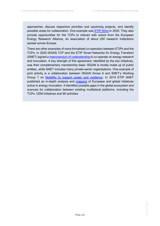approaches, discuss respective priorities and upcoming projects, and identify possible areas for collaboration. One example was [ETIP Wind](https://etipwind.eu/past-events/etipwind-workshop-on-450gw-offshore-wind/) in 2020. They also provide opportunities for the TCPs to interact with actors from the European Energy Research Alliance, an association of about 250 research institutions spread across Europe.

There are other examples of more formalised co-operation between ETIPs and the TCPs. In 2020 ISGAN TCP and the ETIP Smart Networks for Energy Transition (SNET) signed [a memorandum of understanding](https://www.iea-isgan.org/isgan-and-etip-snet-join-forces-to-promote-the-energy-transition/) to co-operate on energy research and innovation. A key strength of this agreement, identified by the two initiatives, was their complementary membership base: ISGAN is mostly made up of public entities, while SNET includes many private-sector organisations. One example of joint activity is a collaboration between ISGAN Annex 6 and SNET's Working Group 1 on [flexibility to support power grid resilience.](https://www.iea-isgan.org/isgan-annex-6-etip-snet-wg1-task-force-on-flexibility-for-resilience-workshop-june-1st-2021/) In 2019 ETIP SNET published an in-depth analysis and **mapping** of European and global initiatives active in energy innovation. It identified possible gaps in the global ecosystem and avenues for collaboration between existing multilateral platforms, including the TCPs, CEM Initiatives and MI activities.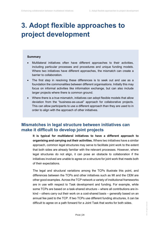## <span id="page-24-0"></span>**3. Adopt flexible approaches to project development**

#### **Summary**

- Multilateral initiatives often have different approaches to their activities, including particular processes and procedures and unique funding models. Where two initiatives have different approaches, the mismatch can create a barrier to collaboration.
- The first step in resolving these differences is to seek out and use as a foundation the commonalities between different organisations. Initially this may focus on informal activities like information exchange, but can also include larger projects where there is common ground.
- Where there is a true mismatch, initiatives can adopt flexible models that allow deviation from the "business-as-usual" approach for collaborative projects. This can allow participants to use a different approach than they are used to in order to align with the approach of other initiatives.

## <span id="page-24-1"></span>**Mismatches in legal structure between initiatives can make it difficult to develop joint projects**

**It is typical for multilateral initiatives to have a different approach to organising and carrying out their activities.** Where two initiatives have a similar approach, common legal structures may serve to facilitate joint work to the extent that both sides are already familiar with the relevant processes. However, where legal structures do not align, it can pose an obstacle to collaboration if the initiatives involved are unable to agree on a structure for joint work that meets both of their expectations.

The legal and structural variations among the TCPs illustrate this point, and differences between the TCPs and other initiatives such as MI and the CEM are other good examples. Across the TCP network a variety of institutional frameworks are in use with respect to Task development and funding. For example, while some TCPs are based on a task-shared structure – where all contributions are inkind – others carry out their work on a cost-shared basis – generally based on an annual fee paid to the TCP. If two TCPs use different funding structures, it can be difficult to agree on a path forward for a Joint Task that works for both sides.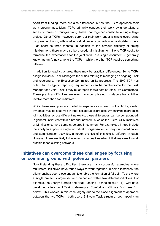Apart from funding, there are also differences in how the TCPs approach their work programmes. Many TCPs primarily conduct their work by undertaking a series of three- or four-year-long Tasks that together constitute a single large project. Other TCPs, however, carry out their work under a single overarching programme of work, with most individual projects carried out on a short-term basis – as short as three months. In addition to the obvious difficulty of timing misalignment, there may also be procedural misalignment if one TCP seeks to formalise the expectations for the joint work in a single document – generally known as an Annex among the TCPs – while the other TCP requires something different.

In addition to legal structures, there may be practical differences. Some TCPs assign individual Task Managers the duties relating to managing an ongoing Task and reporting to the Executive Committee on its progress. The SHC TCP has noted that its typical reporting requirements can be cumbersome for the Task Manager of a Joint Task if they must report to two sets of Executive Committees. These practical difficulties are even more complicated if collaborative activities involve more than two initiatives.

While these examples are rooted in experiences shared by the TCPs, similar dynamics may be observed in other collaborative projects. When trying to organise joint activities across different networks, these differences can be compounded. In general, initiatives within a broader network, such as the TCPs, CEM Initiatives or MI Missions, have some structures in common. For example, all three include the ability to appoint a single individual or organisation to carry out co-ordination and administration activities, although the title of this role is different in each. However, there are likely to be fewer commonalities when initiatives seek to work outside these existing networks.

## <span id="page-25-0"></span>**Initiatives can overcome these challenges by focusing on common ground with potential partners**

Notwithstanding these difficulties, there are many successful examples where multilateral initiatives have found ways to work together. In some instances, the alignment has been close enough to enable the formation of full Joint Tasks where a single project is organised and authorised within two different initiatives. For example, the Energy Storage and Heat Pumping Technologies (HPT) TCPs have developed a fully Joint Task to develop a "Comfort and Climate Box" (see Box below). This worked in this case largely due to the close alignment of approach between the two TCPs – both use a 3-4 year Task structure, both appoint an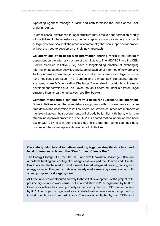Operating Agent to manage a Task, and both formalise the terms of the Task under an Annex.

In other cases, differences in legal structure may preclude the formation of fully joint activities. In these instances, the first step in resolving a structural mismatch or legal obstacle is to seek the areas of commonality that can support collaboration without the need to develop an entirely new approach.

**Collaborations often begin with information sharing**, which is not generally dependent on the internal structure of the initiatives. The HEV TCP and the CEM Electric Vehicles Initiative (EVI) have a longstanding practice of exchanging information about their activities and keeping each other informed of new projects. As this information exchange is done informally, the differences in legal structure have not posed an issue. The "Comfort and Climate Box" represents another example, where MI's Innovation Challenge 7 was able to contribute to the early development activities of a Task, even though it operated under a different legal structure than its partner initiatives (see Box below).

**Common membership can also form a basis for successful collaboration.** Some initiatives noted that administrative approvals within government can cause time delays and undermine fruitful collaboration. Where countries are members of multiple initiatives, their governments will already be familiar with them, which can streamline approval processes. The HEV TCP noted that collaboration has been easier with CEM EVI in some cases due to the fact that some countries have nominated the same representatives to both initiatives.

#### **Case study: Multilateral initiatives working together despite structural and legal differences to launch the "Comfort and Climate Box"**

The Energy Storage TCP, the HPT TCP and MI's Innovation Challenge 7 (IC7) on affordable heating and cooling of buildings co-developed the Comfort and Climate Box to accelerate the market development of smart integrated heating, cooling and energy storage. The goal is to develop nearly market-ready systems, starting with a heat pump and a storage system.

All three initiatives contributed actively to the initial development of the project, with preliminary definition work carried out at a workshop in 2017 organised by MI IC7. Later work activity has been primarily carried out by the two TCPs and endorsed by IC7. The project is organised as a limited-duration collaboration supported by in-kind contributions from participants. The work is jointly led by both TCPs and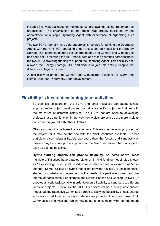includes five work packages on market status, prototyping, testing, roadmap and organisation. The organisation of the project was greatly facilitated by the appointment of a single Operating Agent with experience of organising TCP projects.

The two TCPs normally have different project structures for funding the Operating Agent, with the HPT TCP operating under a cost-shared model and the Energy Storage TCP operating under a task-shared model. The Comfort and Climate Box has been set up following the HPT model, with one of the countries participating in the two TCPs providing funding to support the Operating Agent. This flexibility has allowed the Energy Storage TCP participants to join this activity despite the difference in legal structure.

A joint follow-up annex, the Comfort and Climate Box Solutions for Warm and Humid Countries, is currently under development.

### <span id="page-27-0"></span>**Flexibility is key to developing joint activities**

To optimise collaboration, the TCPs and other initiatives can adopt flexible approaches to project development that tailor a specific project so it aligns with the structures of different initiatives. The TCPs that are open to developing projects that do not function in the way their typical projects do are more likely to find common ground with other initiatives.

Often a single initiative takes the leading role. This may be the initial proponent of the project, or it may be the one with the most resources available. If other participants can adopt a flexible approach, then the fastest and simplest way forward may be to adopt the approach of the "lead" and have other participants align as best as possible.

**Hybrid funding models can provide flexibility.** As noted above, most multilateral initiatives have adapted either an in-kind funding model, also known as "task-sharing", or a model based on an established fee, also known as "costsharing". Some TCPs use a hybrid model that provides flexibility to use either tasksharing or cost-sharing depending on the needs of a particular project and the interest of participants. For example, the District Heating and Cooling (DHC) TCP adopted a hybrid task portfolio in order to ensure flexibility to contribute to different kinds of projects. Previously the DHC TCP operated on a purely cost-shared model, but the Executive Committee agreed to allow the possibility of task-shared activities in part to accommodate collaborative projects. This is also true of MI Communities and Missions, which may adopt in consultation with their members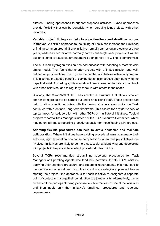different funding approaches to support proposed activities. Hybrid approaches provide flexibility that can be beneficial when pursuing joint projects with other initiatives.

**Variable project timing can help to align timelines and deadlines across initiatives.** A flexible approach to the timing of Tasks can increase the likelihood of finding common ground. If one initiative normally carries out projects over three years, while another initiative normally carries out single-year projects, it will be easier to come to a suitable arrangement if both parties are willing to compromise.

The MI Clean Hydrogen Mission has had success with adopting a more flexible timing model. They found that shorter projects with a limited mission and welldefined outputs functioned best, given the number of initiatives active in hydrogen. This also had the added benefit of carving out smaller spaces after identifying the gaps that exist. Accordingly, this may allow them to keep up to date and on track with other initiatives, and to regularly check in with others in the space.

Similarly, the SolarPACES TCP has created a structure that allows smaller, shorter-term projects to be carried out under an existing Task. These projects can help to align specific activities with the timing of others even while the Task continues with a defined, long-term timeframe. This allows for a wider variety of topical areas for collaboration with other TCPs or multilateral initiatives. Topical projects report to Task Managers instead of the TCP Executive Committee, which may potentially make reporting procedures easier for those leading joint projects.

**Adopting flexible procedures can help to avoid obstacles and facilitate collaboration.** Where initiatives have existing procedural rules to manage their activities, rigid application can cause complications when multiple initiatives are involved. Initiatives are likely to be more successful at identifying and developing joint projects if they are able to adapt procedural rules quickly.

Several TCPs recommended streamlining reporting procedures for Task Managers or Operating Agents who lead joint activities. If both TCPs insist on applying their standard procedural and reporting requirements, this may lead to the duplication of effort and complications if not strategically planned before starting the project. One approach is for each initiative to designate a separate point of contact to manage their contribution to a joint activity. Alternatively, it may be easier if the participants simply choose to follow the lead of one of the initiatives and then apply only that initiative's timelines, procedures and reporting requirements.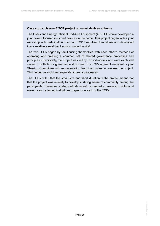#### **Case study: Users-4E TCP project on smart devices at home**

The Users and Energy Efficient End-Use Equipment (4E) TCPs have developed a joint project focused on smart devices in the home. This project began with a joint workshop with participation from both TCP Executive Committees and developed into a relatively small joint activity funded in kind.

The two TCPs began by familiarising themselves with each other's methods of operating and creating a common set of shared governance processes and principles. Specifically, the project was led by two individuals who were each well versed in both TCPs' governance structures. The TCPs agreed to establish a joint Steering Committee with representation from both sides to oversee the project. This helped to avoid two separate approval processes.

The TCPs noted that the small size and short duration of the project meant that that the project was unlikely to develop a strong sense of community among the participants. Therefore, strategic efforts would be needed to create an institutional memory and a lasting institutional capacity in each of the TCPs.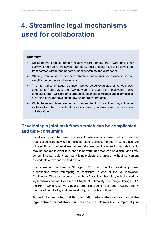## <span id="page-30-0"></span>**4. Streamline legal mechanisms used for collaboration**

#### **Summary**

- Collaborative projects remain relatively rare among the TCPs and other surveyed multilateral initiatives. Therefore, most projects have to be developed from scratch without the benefit of prior examples and experience.
- Starting from a set of common template documents for collaboration can simplify the process and save time.
- The IEA Office of Legal Counsel has collected examples of various legal documents from across the TCP network and used them to develop model templates. The TCPs are encouraged to use these templates and examples as a starting point for developing new collaborative projects.
- While these templates are primarily tailored for TCP use, they may still serve as basis for other multilateral initiatives seeking to streamline the process of collaboration.

## <span id="page-30-1"></span>**Developing a joint task from scratch can be complicated and time-consuming**

Initiatives report that even successful collaborations have had to overcome practical challenges when formalising responsibilities. Although most projects are initiated through informal exchanges, at some point a more formal relationship may be needed in order to support joint work. This step can be difficult and timeconsuming, particularly as many joint projects are unique, without convenient precedents or experience to draw from.

For example, the Energy Storage TCP found the formalisation process burdensome when attempting to contribute to one of the MI Innovation Challenges. They encountered a number of practical obstacles, including various legal mismatches as discussed in Chapter 3. Ultimately, the Energy Storage TCP, the HPT TCP and MI were able to organise a Joint Task, but it required many months of negotiating and co-developing compatible options.

**Some initiatives noted that there is limited information available about the legal options for collaboration.** There are still relatively few examples of joint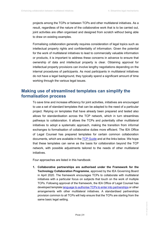projects among the TCPs or between TCPs and other multilateral initiatives. As a result, regardless of the nature of the collaborative work that is to be carried out, joint activities are often organised and designed from scratch without being able to draw on existing examples.

Formalising collaboration generally requires consideration of legal topics such as intellectual property rights and confidentiality of information. Given the potential for the work of multilateral initiatives to lead to commercially valuable information or products, it is important to address these concerns in advance to ensure that ownership of data and intellectual property is clear. Obtaining approval for intellectual property provisions can involve lengthy negotiations depending on the internal procedures of participants. As most participants in multilateral initiatives do not have a legal background, they typically spend a significant amount of time working through the various legal issues.

## <span id="page-31-0"></span>**Making use of streamlined templates can simplify the formalisation process**

To save time and increase efficiency for joint activities, initiatives are encouraged to use a set of standard templates that can be adapted to the need of a particular project. Relying on templates that have already been prepared and tested also allows for standardisation across the TCP network, which in turn streamlines pathways to collaboration. It allows the TCPs and potentially other multilateral initiatives to adopt a systematic approach, making the transition from informal exchanges to formalisation of collaborative duties more efficient. The IEA Office of Legal Counsel has prepared templates for certain common collaboration documents, which are available in the [TCP Guide](https://tcp-guide.iea.org/collaboration) and at the links below. We hope that these templates can serve as the basis for collaboration beyond the TCP network, with possible adjustments tailored to the needs of other multilateral initiatives.

Four approaches are listed in this handbook:

**1. Collaborative partnerships are authorised under the Framework for the Technology Collaboration Programme**, approved by the IEA Governing Board in April 2020. The framework encourages TCPs to collaborate with multilateral initiatives with a particular focus on subjects that touch on the work of multiple TCPs. Following approval of the framework, the IEA Office of Legal Counsel has developed templat[e language to authorise TCPs to enter into partnerships](https://tcp-guide.iea.org/collaboration#140-how-can-tcps-collaborate-with-external-initiatives) or other arrangements with other multilateral initiatives. A standardised partnerships provision common to all TCPs will help ensure that the TCPs are starting from the same basic legal setting.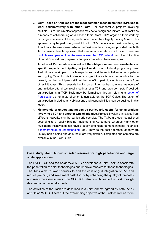- **2. Joint Tasks or Annexes are the most common mechanism that TCPs use to work collaboratively with other TCPs.** For collaborative projects involving multiple TCPs, the simplest approach may be to design and initiate Joint Tasks as a means of collaborating on a chosen topic. Most TCPs organise their work by carrying out a series of Tasks, each underpinned by a legally binding Annex. This approach may be particularly useful if both TCPs use a similar Task structure, but it could also be useful even where the Task structure diverges, provided that both TCPs have a flexible approach that can accommodate a Joint Task. There are [multiple examples of Joint Annexes across the TCP network,](https://tcp-guide.iea.org/collaboration#147-joint-tasks-involving-multiple-tcps) and the IEA Office of Legal Counsel has prepared a template based on these examples.
- **3. A Letter of Participation can set out the obligations and responsibilities of specific experts participating in joint work.** Short of developing a fully Joint Task, it may be simpler to invite experts from a different initiative to participate in an ongoing Task. In this instance, a single initiative is fully responsible for the project, but the participants still get the benefit of participation from experts from other initiatives. This generally begins on an informal basis, where members of one initiative attend technical meetings of a TCP and provide input. If desired, participation in a TCP Task may be formalised through signing a [Letter of](https://tcp-guide.iea.org/collaboration#163-can-we-invite-experts-from-other-tcps-to-participate-in-our-tasks)  [Participation,](https://tcp-guide.iea.org/collaboration#163-can-we-invite-experts-from-other-tcps-to-participate-in-our-tasks) a template of which is available on the TCP Guide. The extent of participation, including any obligations and responsibilities, can be outlined in this letter.
- **4. Memoranda of understanding can be particularly useful for collaborations involving a TCP and another type of initiative.** Projects involving initiatives from different networks may be particularly complex. The TCPs are each established according to a legally binding Implementing Agreement, whereas many other multilateral initiatives do not have a legally binding agreement. In these instances, a [memorandum of understanding](https://tcp-guide.iea.org/collaboration#155-memoranda-of-understanding-with-external-initiatives) (MoU) may be the best approach, as they are usually non-binding and as a result are very flexible. Templates and samples are available in the TCP Guide.

### **Case study: Joint Annex on solar resource for high penetration and large scale applications**

The PVPS TCP and the SolarPACES TCP developed a Joint Task to accelerate the penetration of solar technologies and improve markets for these technologies. The Task aims to lower barriers to and the cost of grid integration of PV, and reduce planning and investment costs for PV by enhancing the quality of forecasts and resource assessments. The SHC TCP also contributes to the Task through designation of national experts.

The activities of the Task are described in a Joint Annex, agreed by both PVPS and SolarPACES. It sets out the overarching objective of the Task as well as more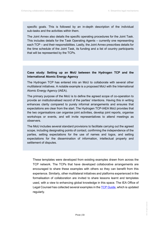specific goals. This is followed by an in-depth description of the individual sub-tasks and the activities within them.

The Joint Annex also details the specific operating procedures for the Joint Task. This includes details for the Task Operating Agents – currently one representing each TCP – and their responsibilities. Lastly, the Joint Annex prescribes details for the time schedule of the Joint Task, its funding and a list of country participants that will be represented by the TCPs.

#### **Case study: Setting up an MoU between the Hydrogen TCP and the International Atomic Energy Agency**

The Hydrogen TCP has entered into an MoU to collaborate with several other multilateral initiatives. A notable example is a proposed MoU with the International Atomic Energy Agency (IAEA).

The primary purpose of the MoU is to define the agreed scope of co-operation to provide an institutionalised record of the parties' intentions. Having this in writing enhances clarity compared to purely informal arrangements and ensures that expectations are clear from the start. The Hydrogen TCP-IAEA MoU provides that the two organisations can organise joint activities, develop joint reports, organise workshops or events, and will invite representatives to attend meetings as observers.

The MoU includes several standard provisions to facilitate carrying out the agreed scope, including designating points of contact, confirming the independence of the parties, setting expectations for the use of names and logos, and setting expectations for the dissemination of information, intellectual property and settlement of disputes.

These templates were developed from existing examples drawn from across the TCP network. The TCPs that have developed collaborative arrangements are encouraged to share these examples with others so they can benefit from this experience. Similarly, other multilateral initiatives and platforms experienced in the formalisation of collaboration are invited to share lessons learnt and templates used, with a view to enhancing global knowledge in this space. The IEA Office of Legal Counsel has collected several examples in the [TCP Guide,](https://tcp-guide.iea.org/collaboration) which is updated regularly.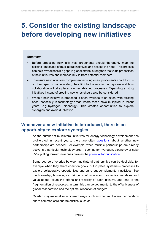## <span id="page-34-0"></span>**5. Consider the existing landscape before developing new initiatives**

#### **Summary**

- Before proposing new initiatives, proponents should thoroughly map the existing landscape of multilateral initiatives and assess the need. This process can help reveal possible gaps in global efforts, strengthen the value proposition of new initiatives and increase buy-in from potential members.
- To ensure new initiatives complement existing ones, proponents should focus on their specific value added, their fit into the existing ecosystem and how collaboration will take place using established processes. Expanding existing initiatives instead of creating new ones should also be considered.
- When a new initiative is proposed, it often overlaps to an extent with existing ones, especially in technology areas where these have multiplied in recent years (e.g. hydrogen, bioenergy). This creates opportunities to explore synergies and avoid duplication.

## <span id="page-34-1"></span>**Whenever a new initiative is introduced, there is an opportunity to explore synergies**

As the number of multilateral initiatives for energy technology development has proliferated in recent years, there are often [questions](https://www.iea.org/commentaries/three-priorities-for-energy-technology-innovation-partnerships) about whether new partnerships are needed. For example, when multiple partnerships are already active in a particular technology area – such as for hydrogen, bioenergy or solar PV – putting forward new ones creates the [potential for duplication.](https://www.iea.org/reports/energy-technology-innovation-partnerships)

Some degree of overlap between multilateral partnerships can be desirable, for example when they share common goals, put in place systematic processes to explore collaborative opportunities and carry out complementary activities. Too much overlap, however, can trigger confusion about respective mandates and value added, dilute the efforts and visibility of each initiative, and lead to the fragmentation of resources. In turn, this can be detrimental to the effectiveness of global collaboration and the optimal allocation of budgets.

Overlap may materialise in different ways, such as when multilateral partnerships share common core characteristics, such as: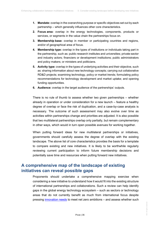- **1. Mandate:** overlap in the overarching purpose or specific objectives set out by each partnership – which generally influences other core characteristics.
- **2. Focus area:** overlap in the energy technologies, components, products or services, or segments in the value chain the partnerships focus on.
- **3. Membership base:** overlap in member or participating countries and regions, and/or of geographical area of focus.
- **4. Membership type:** overlap in the types of institutions or individuals taking part in the partnership, such as: public research institutes and universities; private-sector and industry actors; financiers or development institutions; public administrators and policy makers; or ministers and politicians.
- **5. Activity type:** overlap in the types of underlying activities and their objective, such as: sharing information about new technology concepts; carrying out collaborative RD&D projects; examining technology, policy or market trends; formulating policy recommendations for technology development and market uptake; and opening funding opportunities.
- **6. Audience:** overlap in the target audience of the partnerships' outputs.

There is no rule of thumb to assess whether two given partnerships – whether already in operation or under consideration for a new launch – feature a healthy degree of overlap or face the risk of duplication, and a case-by-case analysis is necessary. The outcome of such assessment may also evolve over time as activities within partnerships change and priorities are adjusted. It is also possible that two multilateral partnerships overlap only partially, but remain complementary in other ways, which would in turn open possible avenues for working together.

When putting forward ideas for new multilateral partnerships or initiatives, governments should carefully assess the degree of overlap with the existing landscape. The above list of core characteristics provides the basis for a template to compare existing and new initiatives. It is likely to be worthwhile regularly reviewing current participation to inform future membership decisions and potentially save time and resources when putting forward new initiatives.

## <span id="page-35-0"></span>**A comprehensive map of the landscape of existing initiatives can reveal possible gaps**

Proponents should undertake a comprehensive mapping exercise when considering a new initiative to understand how it would fit into the existing structure of international partnerships and collaborations. Such a review can help identify gaps in the global energy technology ecosystem – such as sectors or technology areas that do not currently benefit as much from international focus despite pressing [innovation needs](https://www.iea.org/articles/etp-clean-energy-technology-guide) to meet net zero ambitions - and assess whether such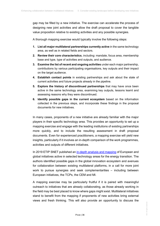gap may be filled by a new initiative. The exercise can accelerate the process of designing new joint activities and allow the draft proposal to cover the tangible value proposition relative to existing activities and any possible synergies.

A thorough mapping exercise would typically involve the following steps:

- **1. List all major multilateral partnerships currently active** in the same technology area, as well as in related fields and sectors.
- **2. Review their core characteristics**, including: mandate, focus area, membership base and type, type of activities and outputs, and audience.
- **3. Examine the list of recent and ongoing activities** under each major partnership, contributions by various participating organisations, key outputs and their impact on the target audience.
- **4. Establish contact points** in existing partnerships and ask about the state of current activities and future projects already in the pipeline.
- **5. Explore the history of discontinued partnerships** that may have once been active in the same technology area, examining key outputs, lessons learnt and assessing reasons why they were discontinued.
- **6. Identify possible gaps in the current ecosystem** based on the information collected in the previous steps, and incorporate these findings in the proposal documents for new initiatives.

In many cases, proponents of a new initiative are already familiar with the major players in their specific technology area. This provides an opportunity to set up a mapping exercise and engage with the leading institutions of existing partnerships more quickly, and to include the resulting assessment in draft proposal documents. Even for experienced practitioners, a mapping exercise will yield new insights, particularly if it involves an in-depth comparison of the work programmes, activities and outputs of different initiatives.

In 2019 ETIP SNET published a[n in-depth analysis and mapping](https://www.etip-snet.eu/wp-content/uploads/2019/03/European-And-International-Initiatives-Towards-Energy-Transition.pdf) of European and global initiatives active in selected technology areas for the energy transition. The authors identified possible gaps in the global innovation ecosystem and avenues for collaboration between existing multilateral platforms, in a call for more joint work to pursue synergies and seek complementarities – including between European initiatives, the TCPs, the CEM and MI.

A mapping exercise may be particularly fruitful if it is paired with meaningful outreach to initiatives that are already collaborating, as those already working in the field may be best placed to know where gaps might exist. Multilateral initiatives stand to benefit from the mapping if proponents of new activities bring external views and fresh thinking. This will also provide an opportunity to discuss the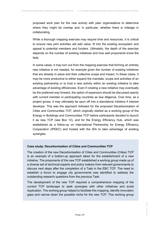proposed work plan for the new activity with peer organisations to determine where they might be overlap and, in particular, whether there is mileage in collaborating.

While a thorough mapping exercise may require time and resources, it is critical to ensure new joint activities will add value, fit into the existing ecosystem and appeal to potential members and funders. Ultimately, the depth of the exercise depends on the number of existing initiatives and how well proponents know the field.

In some cases, it may turn out from the mapping exercise that forming an entirely new initiative is not needed, for example given the number of existing initiatives that are already in place and their collective scope and impact. In these cases, it may be more productive to either expand the mandate, scope and activities of an existing partnership or to host a new activity within an existing initiative to take advantage of existing efficiencies. Even if creating a new initiative may eventually be the preferred way forward, the option of expansion should be discussed openly with current member or participating countries as due diligence. Over time, as a project grows, it may ultimately be spun off into a standalone initiative if interest develops. This was the approach followed for the proposed Decarbonisation of Cities and Communities TCP, which originally started as a working group of the Energy in Buildings and Communities TCP before participants decided to launch it as new TCP (see Box 12), and for the Energy Efficiency Hub, which was established as a follow-up on International Partnership for Energy Efficiency Cooperation (IPEEC) and hosted with the IEA to take advantage of existing synergies.

#### **Case study: Decarbonisation of Cities and Communities TCP**

The creation of the new Decarbonisation of Cities and Communities (Cities) TCP is an example of a bottom-up approach taken for the establishment of a new initiative. The proponents of the new TCP established a working group made up of a diverse set of technical experts and policy makers from relevant governments to discuss next steps after the completion of a Task in the EBC TCP. The need to establish a forum to engage city governments was identified to address the outstanding research questions from the previous Task.

The development of the new TCP required a comprehensive mapping of the current TCP landscape to seek synergies with other initiatives and avoid duplication. The working group helped to facilitate this mapping, identify innovation gaps and narrow down the possible niche for the new TCP. This working group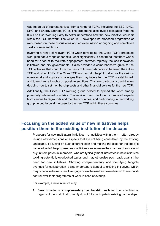was made up of representatives from a range of TCPs, including the EBC, DHC, SHC, and Energy Storage TCPs. The proponents also invited delegates from the IEA End-Use Working Party to better understand how the new initiative would fit within the TCP network. The Cities TCP developed its proposed programme of work based on these discussions and an examination of ongoing and completed Tasks of relevant TCPs.

Involving a range of relevant TCPs when developing the Cities TCP's proposed work plan had a range of benefits. Most significantly, it confirmed that there was a need for a forum to facilitate engagement between topically focused innovation initiatives and city governments. It also provided a comprehensive guide to the TCP activities that could form the basis of future collaboration between the Cities TCP and other TCPs. The Cities TCP also found it helpful to discuss the various operational and logistical challenges they may face after the TCP is established, and to exchange insights on possible solutions. This was particularly useful when deciding how to set membership costs and other financial policies for the new TCP.

Additionally, the Cities TCP working group helped to spread the word among potentially interested countries. The working group included a range of experts from various backgrounds and member countries, and participating in the working group helped to build the case for the new TCP within these countries.

## <span id="page-38-0"></span>**Focusing on the added value of new initiatives helps position them in the existing institutional landscape**

Proposals for new multilateral initiatives – or activities within them – often already include new dimensions or aspects that are not being considered by the existing landscape. Focusing on such differentiation and making the case for the specific value added of the proposed new activities can increase the chances of successful buy-in from potential members, who are typically most interested in new initiatives tackling potentially overlooked topics and may otherwise push back against the need for new initiatives. Showing complementarity and identifying tangible avenues for collaboration is also important to appeal to existing initiatives, which may otherwise be reluctant to engage down the road and even less so to relinquish control over their programme of work in case of overlap.

For example, a new initiative may:

**1. Seek broader or complementary membership**, such as from countries or regions of the world that currently do not fully participate in existing partnerships.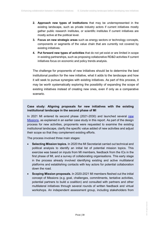- **2. Approach new types of institutions** that may be underrepresented in the existing landscape, such as private industry actors if current initiatives mostly gather public research institutes, or scientific institutes if current initiatives are mostly active at the political level.
- **3. Focus on new strategic areas** such as energy sectors or technology concepts, components or segments of the value chain that are currently not covered by existing initiatives.
- **4. Put forward new types of activities** that do not yet exist or are limited in scope in existing partnerships, such as proposing collaborative RD&D activities if current initiatives focus on economic and policy trends analysis.

The challenge for proponents of new initiatives should be to determine the best institutional position for the new initiative, what it adds to the landscape and how it will seek to pursue synergies with existing initiatives. As part of this process, it may be worth systematically exploring the possibility of expanding the scope of existing initiatives instead of creating new ones, even if only as a comparative scenario.

### **Case study: Aligning proposals for new initiatives with the existing institutional landscape in the second phase of MI**

In 2021 MI entered its second phase (2021-2030) and launched several [new](http://mission-innovation.net/2021/06/23/mi-missions-accelerating-the-clean-energy-transition/)  [Missions,](http://mission-innovation.net/2021/06/23/mi-missions-accelerating-the-clean-energy-transition/) as explained in an earlier case study in this report. As part of the design process for new activities, proponents were requested to examine the existing institutional landscape, clarify the specific value added of new activities and adjust their scope so that they complement existing efforts.

The process involved three main stages:

- **Selecting Mission topics.** In 2020 the MI Secretariat carried out technical and political analysis to identify an initial list of potential mission topics. This exercise was based on inputs from MI members, feedback from the ICs in the first phase of MI, and a survey of collaborating organisations. This early stage in the process already involved identifying existing and active multilateral platforms and establishing contacts with key actors for potential collaboration down the road.
- **Scoping Mission proposals.** In 2020-2021 MI members fleshed out the initial concept of Missions (e.g. goal, challenges, commitments, tentative activities, potential partners to build a coalition) and consulted with partners and other multilateral initiatives through several rounds of written feedback and virtual workshops. An independent assessment group, including stakeholders from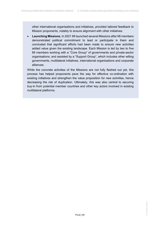other international organisations and initiatives, provided tailored feedback to Mission proponents, notably to ensure alignment with other initiatives.

• **Launching Missions.** In 2021 MI launched several Missions after MI members demonstrated political commitment to lead or participate in them and concluded that significant efforts had been made to ensure new activities added value given the existing landscape. Each Mission is led by two to five MI members working with a "Core Group" of governments and private-sector organisations, and assisted by a "Support Group", which includes other willing governments, multilateral initiatives, international organisations and corporate alliances.

While the concrete activities of the Missions are not fully fleshed out yet, this process has helped proponents pave the way for effective co-ordination with existing initiatives and strengthen the value proposition for new activities, hence decreasing the risk of duplication. Ultimately, this was also central to securing buy-in from potential member countries and other key actors involved in existing multilateral platforms.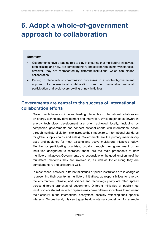## <span id="page-41-0"></span>**6. Adopt a whole-of-government approach to collaboration**

#### **Summary**

- Governments have a leading role to play in ensuring that multilateral initiatives, both existing and new, are complementary and collaborate. In many instances, however, they are represented by different institutions, which can hinder collaboration.
- Putting in place robust co-ordination processes in a whole-of-government approach to international collaboration can help rationalise national participation and avoid overcrowding of new initiatives.

## <span id="page-41-1"></span>**Governments are central to the success of international collaboration efforts**

Governments have a unique and leading role to play in international collaboration on energy technology development and innovation. While major leaps forward in energy technology development are often achieved locally, including by companies, governments can connect national efforts with international action through multilateral platforms to increase their impact (e.g. international standards for global supply chains and sales). Governments are the primary membership base and audience for most existing and active multilateral initiatives today. Member or participating countries, usually through their government or an institution designated to represent them, are the main proponents of new multilateral initiatives. Governments are responsible for the good functioning of the multilateral platforms they are involved in, as well as for ensuring they are complementary and collaborate well.

In most cases, however, different ministries or public institutions are in charge of representing their country in multilateral initiatives, as responsibilities for energy, the environment, climate, and science and technology policy are often spread across different branches of government. Different ministries or publicly led institutions or state-directed companies may have different incentives to represent their country in the international ecosystem, possibly reflecting their specific interests. On one hand, this can trigger healthy internal competition, for example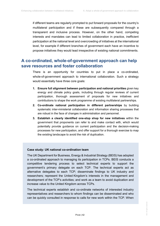if different teams are regularly prompted to put forward proposals for the country's multilateral participation and if these are subsequently compared through a transparent and inclusive process. However, on the other hand, competing interests and mandates can lead to limited collaboration in practice, inefficient participation at the national level and overcrowding of initiatives at the international level, for example if different branches of government each have an incentive to propose initiatives they would lead irrespective of existing national commitments.

### <span id="page-42-0"></span>**A co-ordinated, whole-of-government approach can help save resources and foster collaboration**

There is an opportunity for countries to put in place a co-ordinated, whole-of-government approach to international collaboration. Such a strategy would essentially have three core goals:

- **1. Ensure full alignment between participation and national priorities** given key energy and climate policy goals, including through regular reviews of current participation, thorough assessment of proposals for new initiatives and contributions to shape the work programme of existing multilateral partnerships.
- **2. Co-ordinate national participation in different partnerships** by building systematic inter-ministerial collaboration and information sharing processes that are robust in the face of changes in administration and personnel.
- **3. Establish a clearly identified one-stop shop for new initiatives** within the government that proponents can refer to and make contact with, which would potentially provide guidance on current participation and the decision-making processes for new participation, and offer support for a thorough exercise to map the existing landscape to avoid the risk of duplication.

#### **Case study: UK national co-ordination team**

The UK Department for Business, Energy & Industrial Strategy (BEIS) has adopted a co-ordinated approach to managing its participation in TCPs. BEIS conducts a competitive tendering process to select technical experts to support the government's primary delegate on each TCP. The technical experts act as alternative delegates to each TCP; disseminate findings to UK industry and researchers; represent the United Kingdom's interests in the management and development of the TCP's activities; and work as a team to avoid duplication and increase value to the United Kingdom across TCPs.

The technical experts establish and co-ordinate networks of interested industry representatives and researchers to whom findings can be disseminated and who can be quickly consulted in response to calls for new work within the TCP. When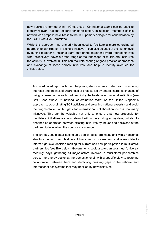new Tasks are formed within TCPs, these TCP national teams can be used to identify relevant national experts for participation. In addition, members of this network can propose new Tasks to the TCP primary delegate for consideration by the TCP Executive Committee.

While this approach has primarily been used to facilitate a more co-ordinated approach to participation in a single initiative, it can also be used at the higher level by putting together a "national team" that brings together several representatives who, collectively, cover a broad range of the landscape of multilateral initiatives the country is involved in. This can facilitate sharing of good practice approaches and exchange of ideas across initiatives, and help to identify avenues for collaboration.

A co-ordinated approach can help mitigate risks associated with competing interests and the lack of awareness of projects led by others, increase chances of being represented in each partnership by the best-placed national institution (see Box "Case study: UK national co-ordination team" on the United Kingdom's approach to co-ordinating TCP activities and selecting national experts), and avoid the fragmentation of budgets for international collaboration across too many initiatives. This can be valuable not only to ensure that new proposals for multilateral initiatives are fully relevant within the existing ecosystem, but also to enhance co-operation between existing initiatives by influencing decisions at the partnership level when the country is a member.

The strategy could entail setting up a dedicated co-ordinating unit with a horizontal structure cutting through different branches of government and a mandate to inform high-level decision-making for current and new participation in multilateral partnerships (see Box below). Governments could also organise annual "universal meeting" days, gathering all major actors involved in multilateral partnerships across the energy sector at the domestic level, with a specific view to fostering collaboration between them and identifying pressing gaps in the national and international ecosystems that may be filled by new initiatives.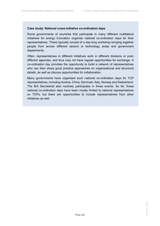#### **Case study: National cross-initiative co-ordination days**

Some governments of countries that participate in many different multilateral initiatives for energy innovation organise national co-ordination days for their representatives. These typically consist of a day-long workshop bringing together people from across different sectors or technology areas and government departments.

Often, representatives in different initiatives work in different divisions or even different agencies, and thus may not have regular opportunities for exchange. A co-ordination day provides the opportunity to build a network of representatives who can then share good practice approaches on organisational and structural details, as well as discuss opportunities for collaboration.

Many governments have organised such national co-ordination days for TCP representatives, including Austria, China, Denmark, Italy, Norway and Switzerland. The IEA Secretariat also routinely participates in these events. So far, these national co-ordination days have been mostly limited to national representatives on TCPs, but there are opportunities to include representatives from other initiatives as well.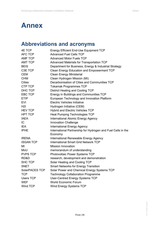## <span id="page-45-0"></span>**Annex**

## <span id="page-45-1"></span>**Abbreviations and acronyms**

| 4E TCP           | <b>Energy Efficient End-Use Equipment TCP</b>                |
|------------------|--------------------------------------------------------------|
| <b>AFC TCP</b>   | <b>Advanced Fuel Cells TCP</b>                               |
| <b>AMF TCP</b>   | <b>Advanced Motor Fuels TCP</b>                              |
| <b>AMT TCP</b>   | <b>Advanced Materials for Transportation TCP</b>             |
| <b>BEIS</b>      | Department for Business, Energy & Industrial Strategy        |
| C3E TCP          | <b>Clean Energy Education and Empowerment TCP</b>            |
| <b>CEM</b>       | <b>Clean Energy Ministerial</b>                              |
| <b>CHM</b>       | Clean Hydrogen Mission (MI)                                  |
| <b>Cities</b>    | Decarbonisation of Cities and Communities TCP                |
| CTP TCP          | <b>Tokamak Programmes TCP</b>                                |
| DHC TCP          | <b>District Heating and Cooling TCP</b>                      |
| <b>EBC TCP</b>   | Energy in Buildings and Communities TCP                      |
| <b>ETIP</b>      | European Technology and Innovation Platform                  |
| <b>EVI</b>       | <b>Electric Vehicles Initiative</b>                          |
| <b>H2I</b>       | Hydrogen Initiative (CEM)                                    |
| <b>HEV TCP</b>   | <b>Hybrid and Electric Vehicles TCP</b>                      |
| <b>HPT TCP</b>   | <b>Heat Pumping Technologies TCP</b>                         |
| <b>IAEA</b>      | <b>International Atomic Energy Agency</b>                    |
| IC               | <b>Innovation Challenge</b>                                  |
| <b>IEA</b>       | <b>International Energy Agency</b>                           |
| <b>IPHE</b>      | International Partnership for Hydrogen and Fuel Cells in the |
| <b>IRENA</b>     | Economy<br>International Renewable Energy Agency             |
| <b>ISGAN TCP</b> | <b>International Smart Grid Network TCP</b>                  |
| MI               | <b>Mission Innovation</b>                                    |
| MoU              | memorandum of understanding                                  |
| <b>PVPS TCP</b>  | Photovoltaic Power Systems TCP                               |
| RD&D             | research, development and demonstration                      |
| <b>SHC TCP</b>   | Solar Heating and Cooling TCP                                |
| <b>SNET</b>      | <b>Smart Networks for Energy Transition</b>                  |
| SolarPACES TCP   | Solar Power and Chemical Energy Systems TCP                  |
| <b>TCP</b>       | <b>Technology Collaboration Programme</b>                    |
| <b>Users TCP</b> | <b>User-Centred Energy Systems TCP</b>                       |
| <b>WEF</b>       | World Economic Forum                                         |
| Wind TCP         | Wind Energy Systems TCP                                      |
|                  |                                                              |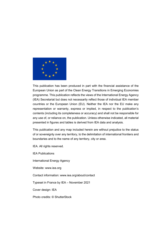

This publication has been produced in part with the financial assistance of the European Union as part of the Clean Energy Transitions in Emerging Economies programme. This publication reflects the views of the International Energy Agency (IEA) Secretariat but does not necessarily reflect those of individual IEA member countries or the European Union (EU). Neither the IEA nor the EU make any representation or warranty, express or implied, in respect to the publication's contents (including its completeness or accuracy) and shall not be responsible for any use of, or reliance on, the publication. Unless otherwise indicated, all material presented in figures and tables is derived from IEA data and analysis.

This publication and any map included herein are without prejudice to the status of or sovereignty over any territory, to the delimitation of international frontiers and boundaries and to the name of any territory, city or area.

IEA. All rights reserved.

IEA Publications

International Energy Agency

Website: www.iea.org

Contact information: www.iea.org/about/contact

Typeset in France by IEA – November 2021

Cover design: IEA

Photo credits: © ShutterStock